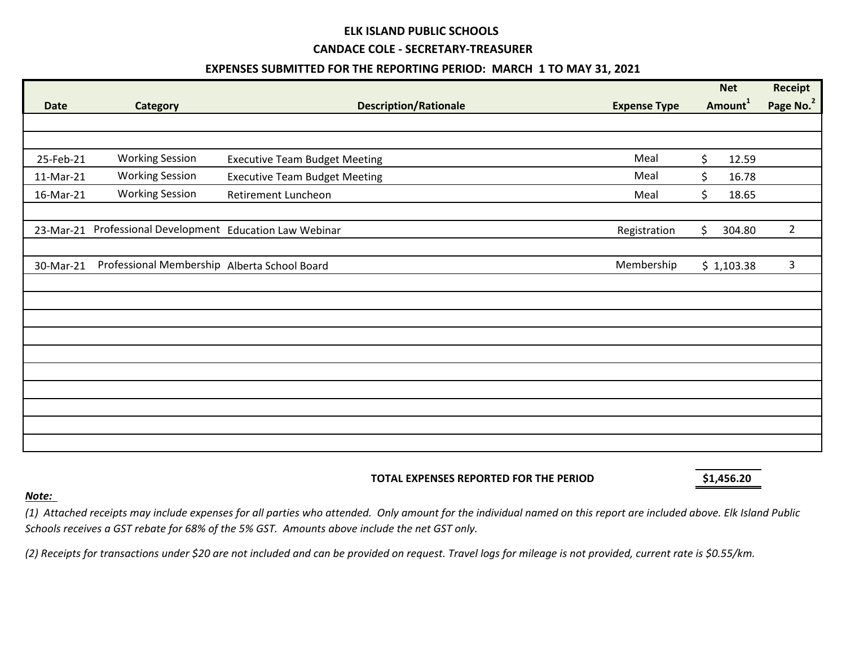# **ELK ISLAND PUBLIC SCHOOLS**

#### **CANDACE COLE - SECRETARY-TREASURER**

## **EXPENSES SUBMITTED FOR THE REPORTING PERIOD: MARCH 1 TO MAY 31, 2021**

|             |                                                |                                      |                     | <b>Net</b>          |            | Receipt               |
|-------------|------------------------------------------------|--------------------------------------|---------------------|---------------------|------------|-----------------------|
| <b>Date</b> | <b>Category</b>                                | <b>Description/Rationale</b>         | <b>Expense Type</b> | Amount <sup>1</sup> |            | Page No. <sup>2</sup> |
|             |                                                |                                      |                     |                     |            |                       |
|             |                                                |                                      |                     |                     |            |                       |
| 25-Feb-21   | <b>Working Session</b>                         | <b>Executive Team Budget Meeting</b> | Meal                | $\mathsf{S}$        | 12.59      |                       |
| 11-Mar-21   | <b>Working Session</b>                         | <b>Executive Team Budget Meeting</b> | Meal                | Ś.                  | 16.78      |                       |
| 16-Mar-21   | <b>Working Session</b>                         | <b>Retirement Luncheon</b>           | Meal                | \$                  | 18.65      |                       |
|             |                                                |                                      |                     |                     |            |                       |
| 23-Mar-21   | Professional Development Education Law Webinar |                                      | Registration        | \$                  | 304.80     | $\overline{2}$        |
|             |                                                |                                      |                     |                     |            |                       |
| 30-Mar-21   | Professional Membership Alberta School Board   |                                      | Membership          |                     | \$1,103.38 | 3                     |
|             |                                                |                                      |                     |                     |            |                       |
|             |                                                |                                      |                     |                     |            |                       |
|             |                                                |                                      |                     |                     |            |                       |
|             |                                                |                                      |                     |                     |            |                       |
|             |                                                |                                      |                     |                     |            |                       |
|             |                                                |                                      |                     |                     |            |                       |
|             |                                                |                                      |                     |                     |            |                       |
|             |                                                |                                      |                     |                     |            |                       |
|             |                                                |                                      |                     |                     |            |                       |
|             |                                                |                                      |                     |                     |            |                       |
|             |                                                |                                      |                     |                     |            |                       |

### **TOTAL EXPENSES REPORTED FOR THE PERIOD \$1,456.20**

### *Note:*

*(1) Attached receipts may include expenses for all parties who attended. Only amount for the individual named on this report are included above. Elk Island Public Schools receives a GST rebate for 68% of the 5% GST. Amounts above include the net GST only.*

*(2) Receipts for transactions under \$20 are not included and can be provided on request. Travel logs for mileage is not provided, current rate is \$0.55/km.*